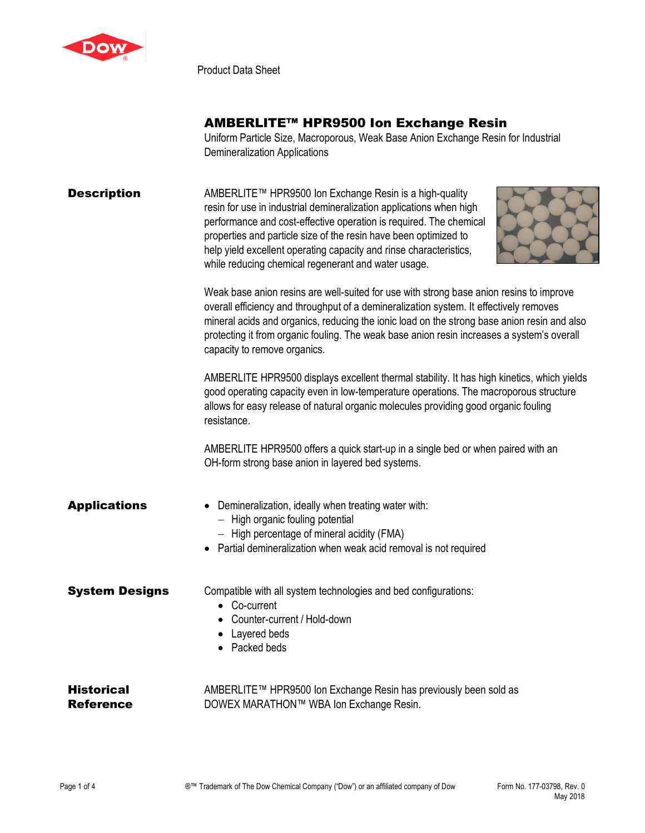

Product Data Sheet

## AMBERLITE™ HPR9500 Ion Exchange Resin

Uniform Particle Size, Macroporous, Weak Base Anion Exchange Resin for Industrial Demineralization Applications

| <b>Description</b>             | AMBERLITE™ HPR9500 Ion Exchange Resin is a high-quality<br>resin for use in industrial demineralization applications when high<br>performance and cost-effective operation is required. The chemical<br>properties and particle size of the resin have been optimized to<br>help yield excellent operating capacity and rinse characteristics,<br>while reducing chemical regenerant and water usage.                                                                                                                                                                                                                                                                                                       |  |  |
|--------------------------------|-------------------------------------------------------------------------------------------------------------------------------------------------------------------------------------------------------------------------------------------------------------------------------------------------------------------------------------------------------------------------------------------------------------------------------------------------------------------------------------------------------------------------------------------------------------------------------------------------------------------------------------------------------------------------------------------------------------|--|--|
|                                | Weak base anion resins are well-suited for use with strong base anion resins to improve<br>overall efficiency and throughput of a demineralization system. It effectively removes<br>mineral acids and organics, reducing the ionic load on the strong base anion resin and also<br>protecting it from organic fouling. The weak base anion resin increases a system's overall<br>capacity to remove organics.<br>AMBERLITE HPR9500 displays excellent thermal stability. It has high kinetics, which yields<br>good operating capacity even in low-temperature operations. The macroporous structure<br>allows for easy release of natural organic molecules providing good organic fouling<br>resistance. |  |  |
|                                |                                                                                                                                                                                                                                                                                                                                                                                                                                                                                                                                                                                                                                                                                                             |  |  |
|                                | AMBERLITE HPR9500 offers a quick start-up in a single bed or when paired with an<br>OH-form strong base anion in layered bed systems.                                                                                                                                                                                                                                                                                                                                                                                                                                                                                                                                                                       |  |  |
| <b>Applications</b>            | Demineralization, ideally when treating water with:<br>- High organic fouling potential<br>- High percentage of mineral acidity (FMA)<br>Partial demineralization when weak acid removal is not required                                                                                                                                                                                                                                                                                                                                                                                                                                                                                                    |  |  |
| <b>System Designs</b>          | Compatible with all system technologies and bed configurations:<br>• Co-current<br>Counter-current / Hold-down<br>Layered beds<br>Packed beds                                                                                                                                                                                                                                                                                                                                                                                                                                                                                                                                                               |  |  |
| <b>Historical</b><br>Reference | AMBERLITE™ HPR9500 Ion Exchange Resin has previously been sold as<br>DOWEX MARATHON™ WBA Ion Exchange Resin.                                                                                                                                                                                                                                                                                                                                                                                                                                                                                                                                                                                                |  |  |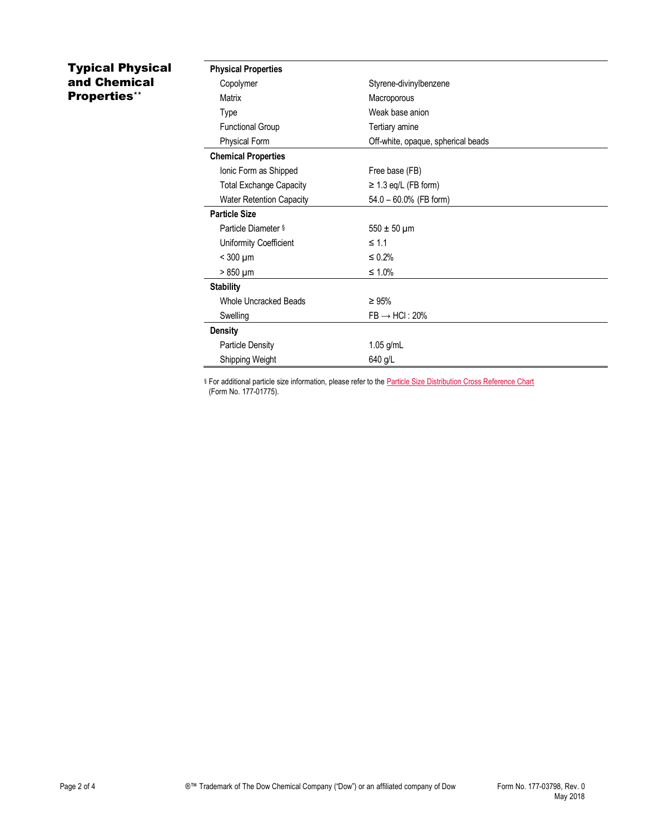## Typical Physical and Chemical Properties\*\*

| <b>Physical Properties</b>      |                                    |
|---------------------------------|------------------------------------|
| Copolymer                       | Styrene-divinylbenzene             |
| Matrix                          | Macroporous                        |
| Type                            | Weak base anion                    |
| <b>Functional Group</b>         | Tertiary amine                     |
| Physical Form                   | Off-white, opaque, spherical beads |
| <b>Chemical Properties</b>      |                                    |
| Ionic Form as Shipped           | Free base (FB)                     |
| <b>Total Exchange Capacity</b>  | $\geq$ 1.3 eq/L (FB form)          |
| <b>Water Retention Capacity</b> | 54.0 - 60.0% (FB form)             |
| <b>Particle Size</b>            |                                    |
| Particle Diameter §             | $550 \pm 50 \,\mu m$               |
| Uniformity Coefficient          | $\leq 1.1$                         |
| $<$ 300 $\mu$ m                 | $\leq 0.2\%$                       |
| $>850 \mu m$                    | $\leq 1.0\%$                       |
| <b>Stability</b>                |                                    |
| <b>Whole Uncracked Beads</b>    | $\geq 95\%$                        |
| Swelling                        | $FB \rightarrow HCl$ : 20%         |
| <b>Density</b>                  |                                    |
| <b>Particle Density</b>         | $1.05$ g/mL                        |
| Shipping Weight                 | 640 g/L                            |

§ For additional particle size information, please refer to the **Particle Size Distribution Cross Reference Chart** (Form No. 177-01775).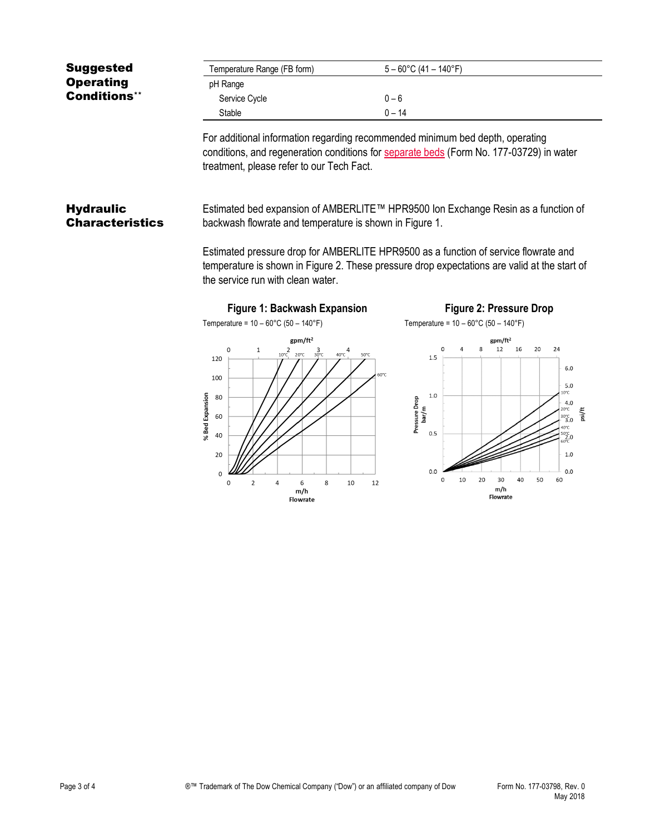| <b>Suggested</b>                           | Temperature Range (FB form)                                                                                                                                                                                                                                                                                                                                              | $5 - 60^{\circ}$ C (41 - 140°F)                                                                                                                                                                                  |  |  |
|--------------------------------------------|--------------------------------------------------------------------------------------------------------------------------------------------------------------------------------------------------------------------------------------------------------------------------------------------------------------------------------------------------------------------------|------------------------------------------------------------------------------------------------------------------------------------------------------------------------------------------------------------------|--|--|
| <b>Operating</b>                           | pH Range                                                                                                                                                                                                                                                                                                                                                                 |                                                                                                                                                                                                                  |  |  |
| <b>Conditions**</b>                        | Service Cycle                                                                                                                                                                                                                                                                                                                                                            | $0 - 6$                                                                                                                                                                                                          |  |  |
|                                            | Stable                                                                                                                                                                                                                                                                                                                                                                   | $0 - 14$                                                                                                                                                                                                         |  |  |
|                                            | For additional information regarding recommended minimum bed depth, operating<br>conditions, and regeneration conditions for separate beds (Form No. 177-03729) in water<br>treatment, please refer to our Tech Fact.                                                                                                                                                    |                                                                                                                                                                                                                  |  |  |
| <b>Hydraulic</b><br><b>Characteristics</b> | Estimated bed expansion of AMBERLITE™ HPR9500 Ion Exchange Resin as a function of<br>backwash flowrate and temperature is shown in Figure 1.<br>Estimated pressure drop for AMBERLITE HPR9500 as a function of service flowrate and<br>temperature is shown in Figure 2. These pressure drop expectations are valid at the start of<br>the service run with clean water. |                                                                                                                                                                                                                  |  |  |
|                                            | Figure 1: Backwash Expansion                                                                                                                                                                                                                                                                                                                                             | <b>Figure 2: Pressure Drop</b>                                                                                                                                                                                   |  |  |
|                                            | Temperature = $10 - 60^{\circ}$ C (50 - 140°F)                                                                                                                                                                                                                                                                                                                           | Temperature = $10 - 60^{\circ}$ C (50 - 140°F)                                                                                                                                                                   |  |  |
|                                            | $gpm/ft^2$<br>$2^{2}$ 20°C 30°C<br>0<br>1<br>$40^{\circ}C$ <sup>4</sup><br>120<br>100<br>% Bed Expansion<br>80<br>60<br>40                                                                                                                                                                                                                                               | $gpm/ft^2$<br>R<br>12<br>16<br>20<br>24<br>50°C<br>1.5<br>6.0<br>60°C<br>5.0<br>$0^{\circ}$ C<br>1.0<br>Pressure Drop<br>4.0<br>bar/m<br>psi/ft<br>$30^{\circ}C$ <sub>3.0</sub><br>0.5<br>$^{50^{\circ}C}_{2.0}$ |  |  |

 $0.0\,$ 

 $\mathbf 0$  $10\,$ 20

 $20\,$ 

 $\mathsf{o}$ 

 $\mathsf{o}$ 

 $\sqrt{2}$ 

 $\sqrt{4}$ 

6<br>m/h<br>Flowrate

 $\bf 8$ 

 $10\,$ 

 $12\,$ 

 $2.0^{\circ}$ C<sub>60°C</sub>  $1.0\,$ 

 $0.0\,$ 

60

50

 $30\,$ 40

m/h<br>Flowrate